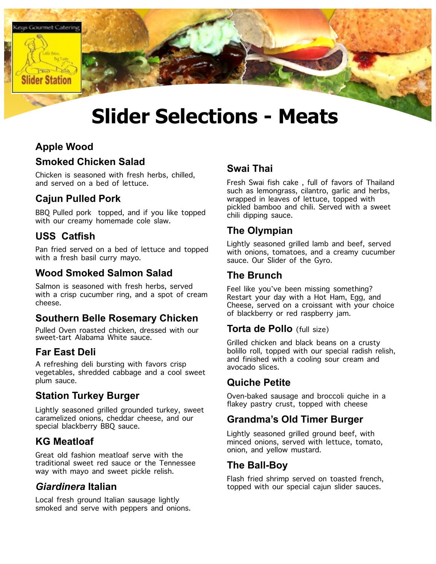

# **Slider Selections - Meats**

# **Apple Wood**

#### **Smoked Chicken Salad**

Chicken is seasoned with fresh herbs, chilled, and served on a bed of lettuce.

# **Cajun Pulled Pork**

BBQ Pulled pork topped, and if you like topped with our creamy homemade cole slaw.

# **USS Catfish**

Pan fried served on a bed of lettuce and topped with a fresh basil curry mayo.

# **Wood Smoked Salmon Salad**

Salmon is seasoned with fresh herbs, served with a crisp cucumber ring, and a spot of cream cheese.

# **Southern Belle Rosemary Chicken**

Pulled Oven roasted chicken, dressed with our sweet-tart Alabama White sauce.

# **Far East Deli**

A refreshing deli bursting with favors crisp vegetables, shredded cabbage and a cool sweet plum sauce.

# **Station Turkey Burger**

Lightly seasoned grilled grounded turkey, sweet caramelized onions, cheddar cheese, and our special blackberry BBQ sauce.

# **KG Meatloaf**

Great old fashion meatloaf serve with the traditional sweet red sauce or the Tennessee way with mayo and sweet pickle relish.

# *Giardinera* **Italian**

Local fresh ground Italian sausage lightly smoked and serve with peppers and onions.

#### **Swai Thai**

Fresh Swai fish cake , full of favors of Thailand such as lemongrass, cilantro, garlic and herbs, wrapped in leaves of lettuce, topped with pickled bamboo and chili. Served with a sweet chili dipping sauce.

# **The Olympian**

Lightly seasoned grilled lamb and beef, served with onions, tomatoes, and a creamy cucumber sauce. Our Slider of the Gyro.

# **The Brunch**

Feel like you've been missing something? Restart your day with a Hot Ham, Egg, and Cheese, served on a croissant with your choice of blackberry or red raspberry jam.

#### **Torta de Pollo** (full size)

Grilled chicken and black beans on a crusty bolillo roll, topped with our special radish relish, and finished with a cooling sour cream and avocado slices.

# **Quiche Petite**

Oven-baked sausage and broccoli quiche in a flakey pastry crust, topped with cheese

# **Grandma's Old Timer Burger**

Lightly seasoned grilled ground beef, with minced onions, served with lettuce, tomato, onion, and yellow mustard.

#### **The Ball-Boy**

Flash fried shrimp served on toasted french, topped with our special cajun slider sauces.